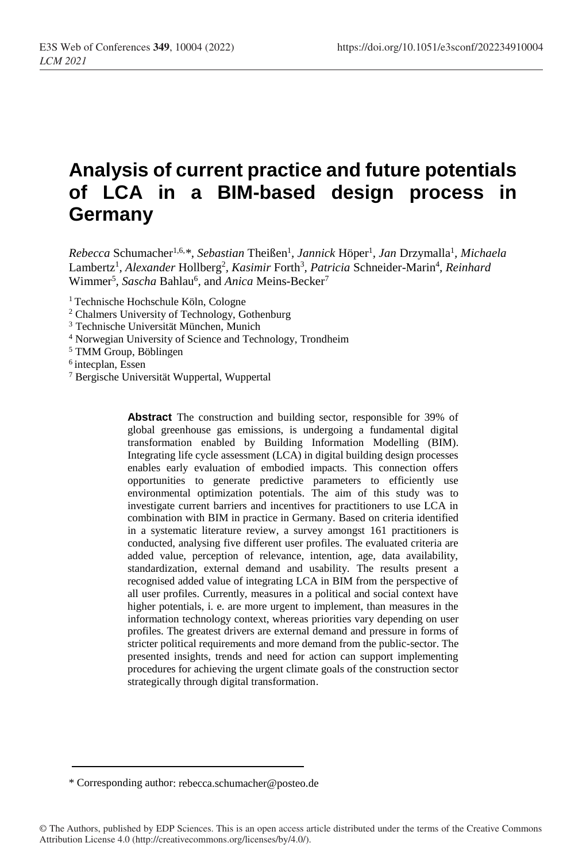# **Analysis of current practice and future potentials of LCA in a BIM-based design process in Germany**

Rebecca Schumacher<sup>1,6,\*</sup>, Sebastian Theißen<sup>1</sup>, Jannick Höper<sup>1</sup>, Jan Drzymalla<sup>1</sup>, Michaela Lambertz<sup>1</sup>, Alexander Hollberg<sup>2</sup>, Kasimir Forth<sup>3</sup>, Patricia Schneider-Marin<sup>4</sup>, Reinhard Wimmer<sup>5</sup>, Sascha Bahlau<sup>6</sup>, and *Anica* Meins-Becker<sup>7</sup>

<sup>1</sup> Technische Hochschule Köln, Cologne

- <sup>2</sup> Chalmers University of Technology, Gothenburg
- <sup>3</sup> Technische Universität München, Munich
- <sup>4</sup> Norwegian University of Science and Technology, Trondheim
- <sup>5</sup> TMM Group, Böblingen
- 6 intecplan, Essen
- <sup>7</sup> Bergische Universität Wuppertal, Wuppertal

**Abstract** The construction and building sector, responsible for 39% of global greenhouse gas emissions, is undergoing a fundamental digital transformation enabled by Building Information Modelling (BIM). Integrating life cycle assessment (LCA) in digital building design processes enables early evaluation of embodied impacts. This connection offers opportunities to generate predictive parameters to efficiently use environmental optimization potentials. The aim of this study was to investigate current barriers and incentives for practitioners to use LCA in combination with BIM in practice in Germany. Based on criteria identified in a systematic literature review, a survey amongst 161 practitioners is conducted, analysing five different user profiles. The evaluated criteria are added value, perception of relevance, intention, age, data availability, standardization, external demand and usability. The results present a recognised added value of integrating LCA in BIM from the perspective of all user profiles. Currently, measures in a political and social context have higher potentials, i. e. are more urgent to implement, than measures in the information technology context, whereas priorities vary depending on user profiles. The greatest drivers are external demand and pressure in forms of stricter political requirements and more demand from the public-sector. The presented insights, trends and need for action can support implementing procedures for achieving the urgent climate goals of the construction sector strategically through digital transformation.

<sup>\*</sup> Corresponding author: rebecca.schumacher@posteo.de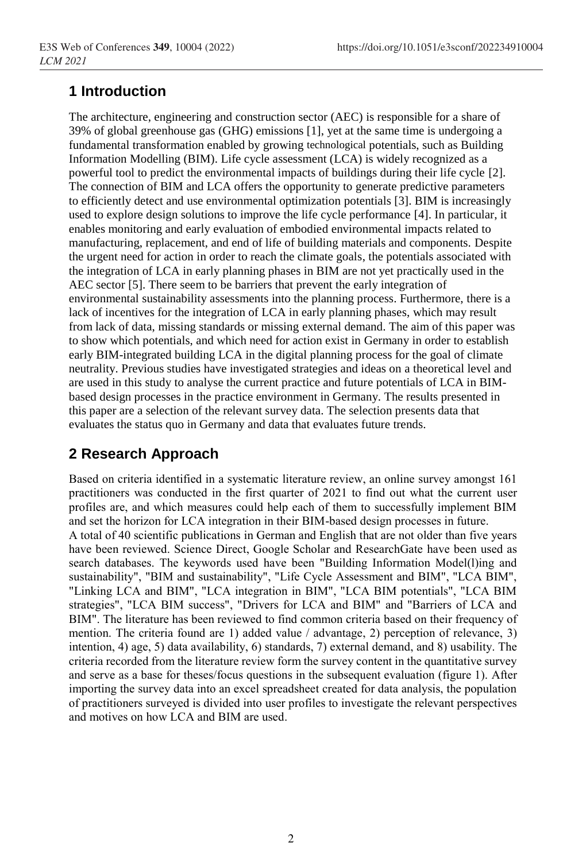# **1 Introduction**

The architecture, engineering and construction sector (AEC) is responsible for a share of 39% of global greenhouse gas (GHG) emissions [1], yet at the same time is undergoing a fundamental transformation enabled by growing technological potentials, such as Building Information Modelling (BIM). Life cycle assessment (LCA) is widely recognized as a powerful tool to predict the environmental impacts of buildings during their life cycle [2]. The connection of BIM and LCA offers the opportunity to generate predictive parameters to efficiently detect and use environmental optimization potentials [3]. BIM is increasingly used to explore design solutions to improve the life cycle performance [4]. In particular, it enables monitoring and early evaluation of embodied environmental impacts related to manufacturing, replacement, and end of life of building materials and components. Despite the urgent need for action in order to reach the climate goals, the potentials associated with the integration of LCA in early planning phases in BIM are not yet practically used in the AEC sector [5]. There seem to be barriers that prevent the early integration of environmental sustainability assessments into the planning process. Furthermore, there is a lack of incentives for the integration of LCA in early planning phases, which may result from lack of data, missing standards or missing external demand. The aim of this paper was to show which potentials, and which need for action exist in Germany in order to establish early BIM-integrated building LCA in the digital planning process for the goal of climate neutrality. Previous studies have investigated strategies and ideas on a theoretical level and are used in this study to analyse the current practice and future potentials of LCA in BIMbased design processes in the practice environment in Germany. The results presented in this paper are a selection of the relevant survey data. The selection presents data that evaluates the status quo in Germany and data that evaluates future trends.

# **2 Research Approach**

Based on criteria identified in a systematic literature review, an online survey amongst 161 practitioners was conducted in the first quarter of 2021 to find out what the current user profiles are, and which measures could help each of them to successfully implement BIM and set the horizon for LCA integration in their BIM-based design processes in future.

A total of 40 scientific publications in German and English that are not older than five years have been reviewed. Science Direct, Google Scholar and ResearchGate have been used as search databases. The keywords used have been "Building Information Model(l)ing and sustainability", "BIM and sustainability", "Life Cycle Assessment and BIM", "LCA BIM", "Linking LCA and BIM", "LCA integration in BIM", "LCA BIM potentials", "LCA BIM strategies", "LCA BIM success", "Drivers for LCA and BIM" and "Barriers of LCA and BIM". The literature has been reviewed to find common criteria based on their frequency of mention. The criteria found are 1) added value / advantage, 2) perception of relevance, 3) intention, 4) age, 5) data availability, 6) standards, 7) external demand, and 8) usability. The criteria recorded from the literature review form the survey content in the quantitative survey and serve as a base for theses/focus questions in the subsequent evaluation (figure 1). After importing the survey data into an excel spreadsheet created for data analysis, the population of practitioners surveyed is divided into user profiles to investigate the relevant perspectives and motives on how LCA and BIM are used.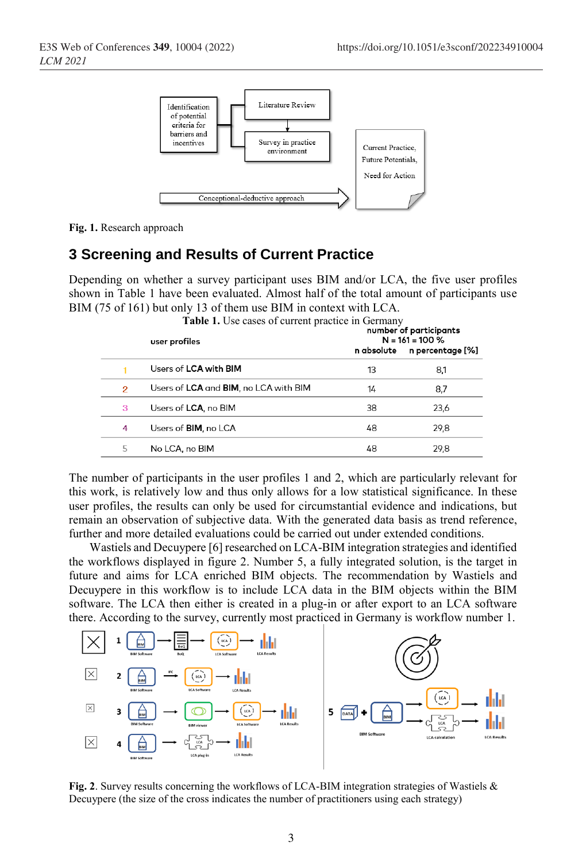

**Fig. 1.** Research approach

### **3 Screening and Results of Current Practice**

Depending on whether a survey participant uses BIM and/or LCA, the five user profiles shown in [Tabl](#page-2-0)e 1 have been evaluated. Almost half of the total amount of participants use BIM (75 of 161) but only 13 of them use BIM in context with LCA.

<span id="page-2-0"></span>

|                | <b>Table 1.</b> Use cases of current practice in Germany<br>user profiles | number of participants<br>$N = 161 = 100 %$ |                  |  |
|----------------|---------------------------------------------------------------------------|---------------------------------------------|------------------|--|
|                |                                                                           | n absolute                                  | n percentage [%] |  |
|                | Users of <b>LCA</b> with <b>BIM</b>                                       | 13                                          | 8,1              |  |
| $\overline{2}$ | Users of LCA and BIM, no LCA with BIM                                     | 14                                          | 8,7              |  |
| 3              | Users of <b>LCA</b> , no BIM                                              | 38                                          | 23,6             |  |
| 4              | Users of <b>BIM</b> , no LCA                                              | 48                                          | 29,8             |  |
| 5              | No LCA, no BIM                                                            | 48                                          | 29,8             |  |

The number of participants in the user profiles 1 and 2, which are particularly relevant for this work, is relatively low and thus only allows for a low statistical significance. In these user profiles, the results can only be used for circumstantial evidence and indications, but remain an observation of subjective data. With the generated data basis as trend reference, further and more detailed evaluations could be carried out under extended conditions.

Wastiels and Decuypere [6] researched on LCA-BIM integration strategies and identified the workflows displayed in figure 2. Number 5, a fully integrated solution, is the target in future and aims for LCA enriched BIM objects. The recommendation by Wastiels and Decuypere in this workflow is to include LCA data in the BIM objects within the BIM software. The LCA then either is created in a plug-in or after export to an LCA software there. According to the survey, currently most practiced in Germany is workflow number 1.



**Fig. 2**. Survey results concerning the workflows of LCA-BIM integration strategies of Wastiels & Decuypere (the size of the cross indicates the number of practitioners using each strategy)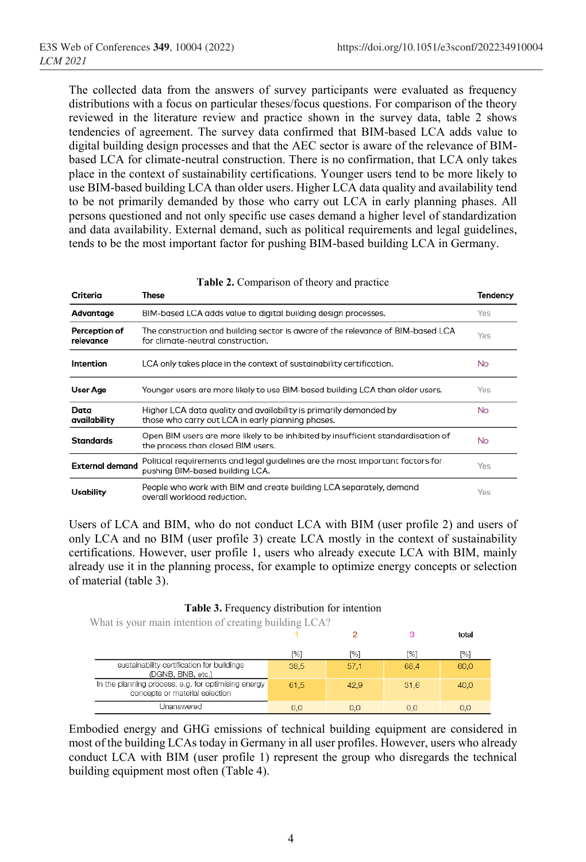The collected data from the answers of survey participants were evaluated as frequency distributions with a focus on particular theses/focus questions. For comparison of the theory reviewed in the literature review and practice shown in the survey data, table 2 shows tendencies of agreement. The survey data confirmed that BIM-based LCA adds value to digital building design processes and that the AEC sector is aware of the relevance of BIMbased LCA for climate-neutral construction. There is no confirmation, that LCA only takes place in the context of sustainability certifications. Younger users tend to be more likely to use BIM-based building LCA than older users. Higher LCA data quality and availability tend to be not primarily demanded by those who carry out LCA in early planning phases. All persons questioned and not only specific use cases demand a higher level of standardization and data availability. External demand, such as political requirements and legal guidelines, tends to be the most important factor for pushing BIM-based building LCA in Germany.

|                            | <b>Table 2:</b> Comparison of theory and practice                                                                       |           |
|----------------------------|-------------------------------------------------------------------------------------------------------------------------|-----------|
| Criteria                   | These                                                                                                                   | Tendency  |
| Advantage                  | BIM-based LCA adds value to digital building design processes.                                                          | Yes       |
| Perception of<br>relevance | The construction and building sector is aware of the relevance of BIM-based LCA<br>for climate-neutral construction.    | Yes       |
| Intention                  | LCA only takes place in the context of sustainability certification.                                                    | <b>No</b> |
| User Age                   | Younger users are more likely to use BIM-based building LCA than older users.                                           | Yes       |
| Data<br>availability       | Higher LCA data quality and availability is primarily demanded by<br>those who carry out LCA in early planning phases.  | No.       |
| <b>Standards</b>           | Open BIM users are more likely to be inhibited by insufficient standardisation of<br>the process than closed BIM users. | <b>No</b> |
| <b>External demand</b>     | Political requirements and legal guidelines are the most important factors for<br>pushing BIM-based building LCA.       | Yes       |
| Usability                  | People who work with BIM and create building LCA separately, demand<br>overall workload reduction.                      | Yes       |

Users of LCA and BIM, who do not conduct LCA with BIM (user profile 2) and users of only LCA and no BIM (user profile 3) create LCA mostly in the context of sustainability certifications. However, user profile 1, users who already execute LCA with BIM, mainly already use it in the planning process, for example to optimize energy concepts or selection of material (table 3).

| Table 3. Frequency distribution for intention |  |  |
|-----------------------------------------------|--|--|
|-----------------------------------------------|--|--|

What is your main intention of creating building LCA?

|                                                                                       |      |      |      | total |
|---------------------------------------------------------------------------------------|------|------|------|-------|
|                                                                                       | [%]  | [%]  | [%]  | [%]   |
| sustainability certification for buildings<br>(DGNB, BNB, etc.)                       | 38.5 | 57.1 | 68.4 | 60.0  |
| In the planning process, e.g. for optimising energy<br>concepts or material selection | 61.5 | 42.9 | 31,6 | 40,0  |
| Unanswered                                                                            | 0.0  | 0.0  | 0.0  | 0,0   |

Embodied energy and GHG emissions of technical building equipment are considered in most of the building LCAs today in Germany in all user profiles. However, users who already conduct LCA with BIM (user profile 1) represent the group who disregards the technical building equipment most often (Table 4).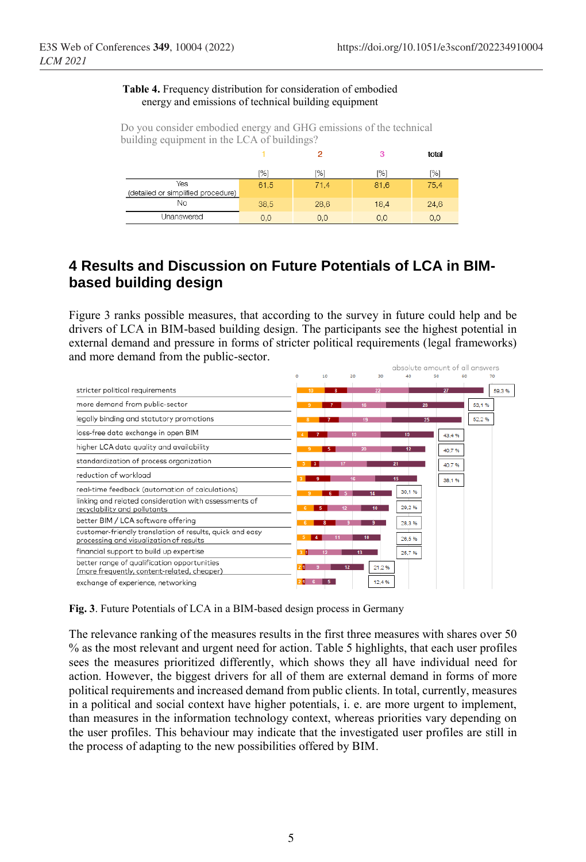#### **Table 4.** Frequency distribution for consideration of embodied energy and emissions of technical building equipment

Do you consider embodied energy and GHG emissions of the technical building equipment in the LCA of buildings?

|                                           |                 |      | 3    | total |
|-------------------------------------------|-----------------|------|------|-------|
|                                           | <sup>196]</sup> | [%]  | [%]  | [%]   |
| Yes<br>(detailed or simplified procedure) | 61,5            | 71,4 | 81,6 | 75,4  |
| <b>No</b>                                 | 38,5            | 28,6 | 18,4 | 24,6  |
| Unanswered                                | 0,0             | 0.0  | 0,0  | 0,0   |

## **4 Results and Discussion on Future Potentials of LCA in BIMbased building design**

Figure 3 ranks possible measures, that according to the survey in future could help and be drivers of LCA in BIM-based building design. The participants see the highest potential in external demand and pressure in forms of stricter political requirements (legal frameworks) and more demand from the public-sector.



**Fig. 3**. Future Potentials of LCA in a BIM-based design process in Germany

The relevance ranking of the measures results in the first three measures with shares over 50 % as the most relevant and urgent need for action. Table 5 highlights, that each user profiles sees the measures prioritized differently, which shows they all have individual need for action. However, the biggest drivers for all of them are external demand in forms of more political requirements and increased demand from public clients. In total, currently, measures in a political and social context have higher potentials, i. e. are more urgent to implement, than measures in the information technology context, whereas priorities vary depending on the user profiles. This behaviour may indicate that the investigated user profiles are still in the process of adapting to the new possibilities offered by BIM.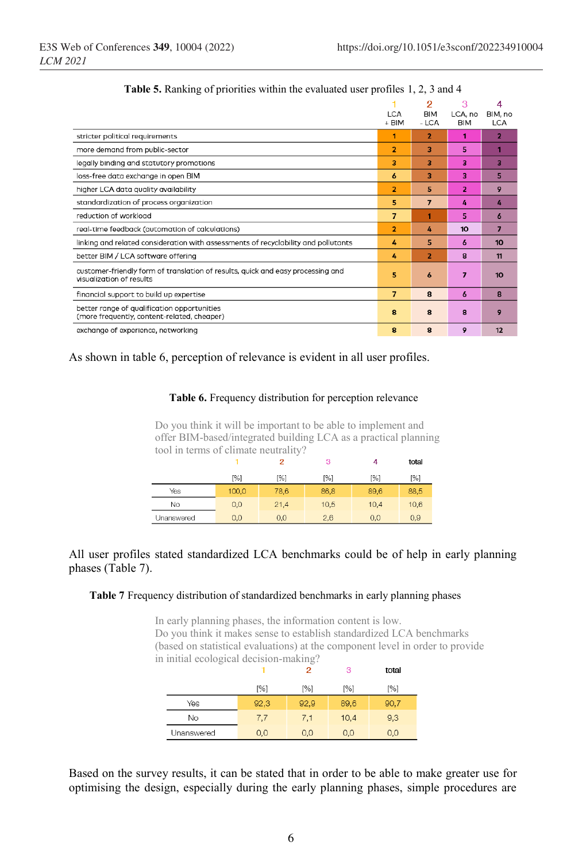|                                                                                                             | <b>LCA</b><br>+ BIM | 2<br><b>BIM</b><br>- LCA | з<br>LCA, no<br><b>BIM</b> | 4<br>BIM, no<br><b>LCA</b> |
|-------------------------------------------------------------------------------------------------------------|---------------------|--------------------------|----------------------------|----------------------------|
| stricter political requirements                                                                             | 1                   | 2                        | 1                          | $\overline{2}$             |
| more demand from public-sector                                                                              | $\overline{2}$      | 3                        | 5                          | ۴                          |
| legally binding and statutory promotions                                                                    | 3                   | 3                        | 3                          | 3                          |
| loss-free data exchange in open BIM                                                                         | 6                   | 3                        | 3                          | 5                          |
| higher LCA data quality availability                                                                        | $\overline{2}$      | 5                        | $\overline{2}$             | 9                          |
| standardization of process organization                                                                     | 5                   | 7                        | 4                          | 4                          |
| reduction of workload                                                                                       | 7                   |                          | 5                          | 6                          |
| real-time feedback (automation of calculations)                                                             | 2                   | 4                        | 10                         | 7                          |
| linking and related consideration with assessments of recyclability and pollutants                          | 4                   | 5                        | 6                          | 10                         |
| better BIM / LCA software offering                                                                          | 4                   | $\overline{2}$           | $\mathbf{a}$               | 11                         |
| customer-friendly form of translation of results, quick and easy processing and<br>visualization of results | 5                   | 6                        | 7                          | 10                         |
| financial support to build up expertise                                                                     | $\overline{ }$      | 8                        | 6                          | 8                          |
| better range of qualification opportunities<br>(more frequently, content-related, cheaper)                  | 8                   | 8                        | 8                          | 9                          |
| exchange of experience, networking                                                                          | 8                   | 8                        | 9                          | 12                         |

#### As shown in table 6, perception of relevance is evident in all user profiles.

#### **Table 6.** Frequency distribution for perception relevance

Do you think it will be important to be able to implement and offer BIM-based/integrated building LCA as a practical planning tool in terms of climate neutrality?

|            |       | 2    | 3    | 4    | total |
|------------|-------|------|------|------|-------|
|            | [%]   | [%]  | [%]  | [%]  | [%]   |
| Yes        | 100,0 | 78,6 | 86,8 | 89,6 | 88,5  |
| No         | 0,0   | 21,4 | 10,5 | 10,4 | 10.6  |
| Unanswered | 0.0   | 0.0  | 2.6  | 0.0  | 0.9   |

#### All user profiles stated standardized LCA benchmarks could be of help in early planning phases (Table 7).

#### **Table 7** Frequency distribution of standardized benchmarks in early planning phases

In early planning phases, the information content is low. Do you think it makes sense to establish standardized LCA benchmarks (based on statistical evaluations) at the component level in order to provide in initial ecological decision-making?  $\sim$   $\sim$   $\sim$ 

|            |      | ╯        | 35       | τοται |
|------------|------|----------|----------|-------|
|            | [%]  | [%]      | [%]      | [%]   |
| Yes        | 92,3 | 92,9     | 89,6     | 90,7  |
| No         | 7,7  | 7,1      | 10,4     | 9,3   |
| Unanswered | 0,0  | $_{0,0}$ | $_{0,0}$ | 0,0   |

Based on the survey results, it can be stated that in order to be able to make greater use for optimising the design, especially during the early planning phases, simple procedures are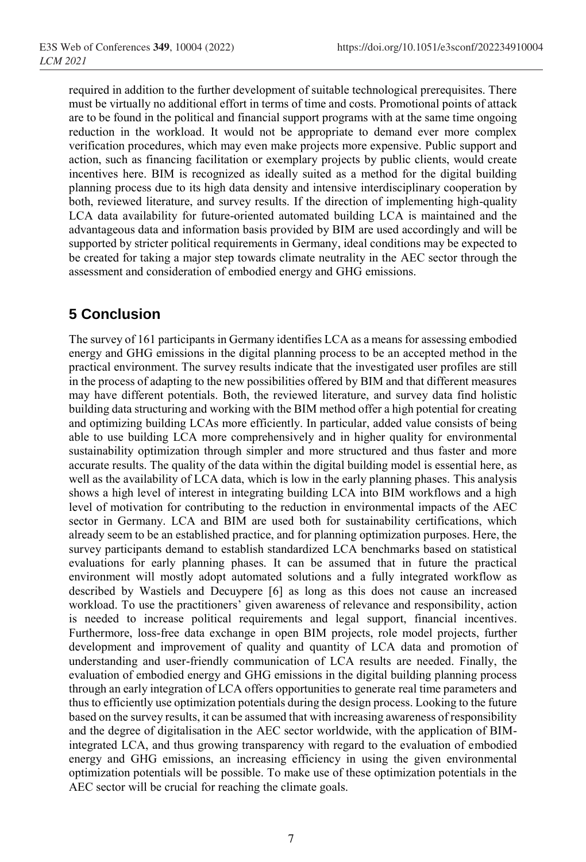required in addition to the further development of suitable technological prerequisites. There must be virtually no additional effort in terms of time and costs. Promotional points of attack are to be found in the political and financial support programs with at the same time ongoing reduction in the workload. It would not be appropriate to demand ever more complex verification procedures, which may even make projects more expensive. Public support and action, such as financing facilitation or exemplary projects by public clients, would create incentives here. BIM is recognized as ideally suited as a method for the digital building planning process due to its high data density and intensive interdisciplinary cooperation by both, reviewed literature, and survey results. If the direction of implementing high-quality LCA data availability for future-oriented automated building LCA is maintained and the advantageous data and information basis provided by BIM are used accordingly and will be supported by stricter political requirements in Germany, ideal conditions may be expected to be created for taking a major step towards climate neutrality in the AEC sector through the assessment and consideration of embodied energy and GHG emissions.

### **5 Conclusion**

The survey of 161 participants in Germany identifies LCA as a means for assessing embodied energy and GHG emissions in the digital planning process to be an accepted method in the practical environment. The survey results indicate that the investigated user profiles are still in the process of adapting to the new possibilities offered by BIM and that different measures may have different potentials. Both, the reviewed literature, and survey data find holistic building data structuring and working with the BIM method offer a high potential for creating and optimizing building LCAs more efficiently. In particular, added value consists of being able to use building LCA more comprehensively and in higher quality for environmental sustainability optimization through simpler and more structured and thus faster and more accurate results. The quality of the data within the digital building model is essential here, as well as the availability of LCA data, which is low in the early planning phases. This analysis shows a high level of interest in integrating building LCA into BIM workflows and a high level of motivation for contributing to the reduction in environmental impacts of the AEC sector in Germany. LCA and BIM are used both for sustainability certifications, which already seem to be an established practice, and for planning optimization purposes. Here, the survey participants demand to establish standardized LCA benchmarks based on statistical evaluations for early planning phases. It can be assumed that in future the practical environment will mostly adopt automated solutions and a fully integrated workflow as described by Wastiels and Decuypere [6] as long as this does not cause an increased workload. To use the practitioners' given awareness of relevance and responsibility, action is needed to increase political requirements and legal support, financial incentives. Furthermore, loss-free data exchange in open BIM projects, role model projects, further development and improvement of quality and quantity of LCA data and promotion of understanding and user-friendly communication of LCA results are needed. Finally, the evaluation of embodied energy and GHG emissions in the digital building planning process through an early integration of LCA offers opportunities to generate real time parameters and thus to efficiently use optimization potentials during the design process. Looking to the future based on the survey results, it can be assumed that with increasing awareness of responsibility and the degree of digitalisation in the AEC sector worldwide, with the application of BIMintegrated LCA, and thus growing transparency with regard to the evaluation of embodied energy and GHG emissions, an increasing efficiency in using the given environmental optimization potentials will be possible. To make use of these optimization potentials in the AEC sector will be crucial for reaching the climate goals.